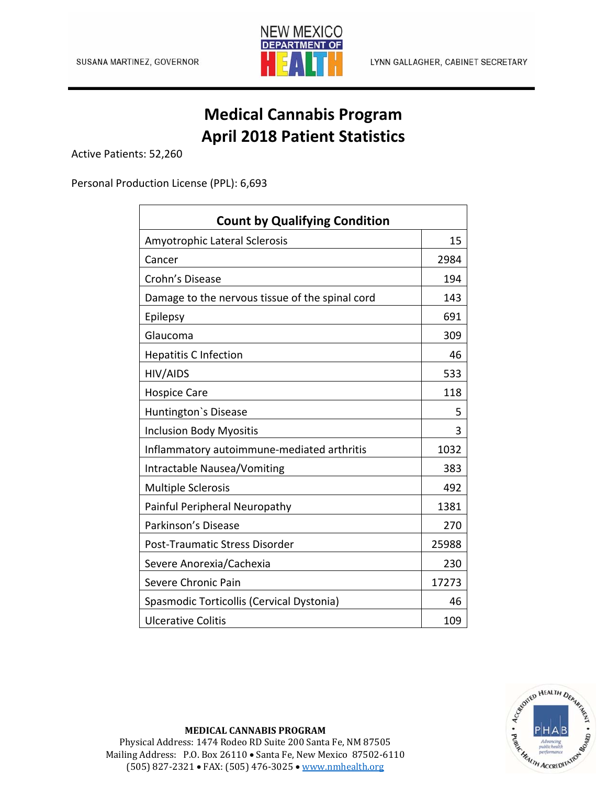

## **Medical Cannabis Program April 2018 Patient Statistics**

Active Patients: 52,260

Personal Production License (PPL): 6,693

| <b>Count by Qualifying Condition</b>            |       |  |
|-------------------------------------------------|-------|--|
| Amyotrophic Lateral Sclerosis                   | 15    |  |
| Cancer                                          | 2984  |  |
| Crohn's Disease                                 | 194   |  |
| Damage to the nervous tissue of the spinal cord | 143   |  |
| Epilepsy                                        | 691   |  |
| Glaucoma                                        | 309   |  |
| <b>Hepatitis C Infection</b>                    | 46    |  |
| HIV/AIDS                                        | 533   |  |
| <b>Hospice Care</b>                             | 118   |  |
| Huntington's Disease                            | 5     |  |
| <b>Inclusion Body Myositis</b>                  | 3     |  |
| Inflammatory autoimmune-mediated arthritis      | 1032  |  |
| Intractable Nausea/Vomiting                     | 383   |  |
| <b>Multiple Sclerosis</b>                       | 492   |  |
| Painful Peripheral Neuropathy                   | 1381  |  |
| Parkinson's Disease                             | 270   |  |
| Post-Traumatic Stress Disorder                  | 25988 |  |
| Severe Anorexia/Cachexia                        | 230   |  |
| Severe Chronic Pain                             | 17273 |  |
| Spasmodic Torticollis (Cervical Dystonia)       | 46    |  |
| <b>Ulcerative Colitis</b>                       | 109   |  |



**MEDICAL CANNABIS PROGRAM** Physical Address: 1474 Rodeo RD Suite 200 Santa Fe, NM 87505 Mailing Address: P.O. Box 26110 . Santa Fe, New Mexico 87502-6110 (505) 827-2321 FAX: (505) 476-3025 www.nmhealth.org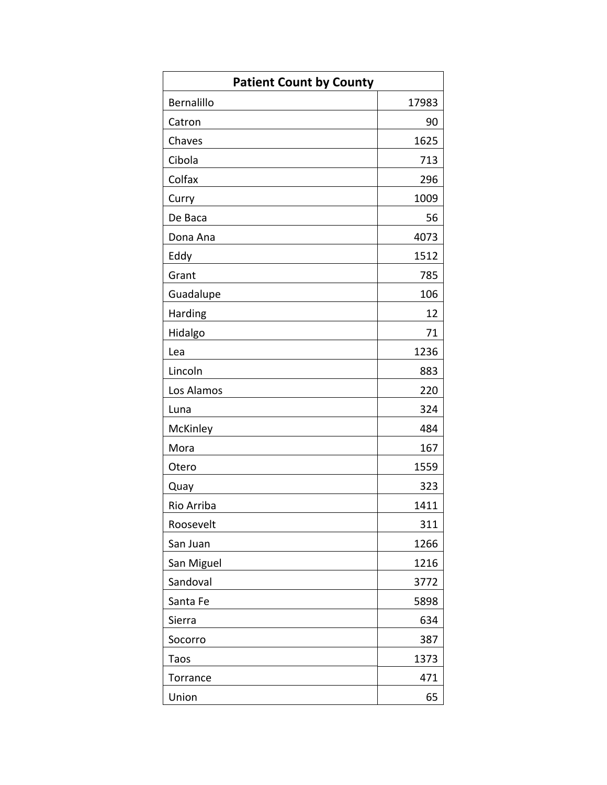| <b>Patient Count by County</b> |       |
|--------------------------------|-------|
| Bernalillo                     | 17983 |
| Catron                         | 90    |
| Chaves                         | 1625  |
| Cibola                         | 713   |
| Colfax                         | 296   |
| Curry                          | 1009  |
| De Baca                        | 56    |
| Dona Ana                       | 4073  |
| Eddy                           | 1512  |
| Grant                          | 785   |
| Guadalupe                      | 106   |
| Harding                        | 12    |
| Hidalgo                        | 71    |
| Lea                            | 1236  |
| Lincoln                        | 883   |
| Los Alamos                     | 220   |
| Luna                           | 324   |
| McKinley                       | 484   |
| Mora                           | 167   |
| Otero                          | 1559  |
| Quay                           | 323   |
| Rio Arriba                     | 1411  |
| Roosevelt                      | 311   |
| San Juan                       | 1266  |
| San Miguel                     | 1216  |
| Sandoval                       | 3772  |
| Santa Fe                       | 5898  |
| Sierra                         | 634   |
| Socorro                        | 387   |
| Taos                           | 1373  |
| Torrance                       | 471   |
| Union                          | 65    |